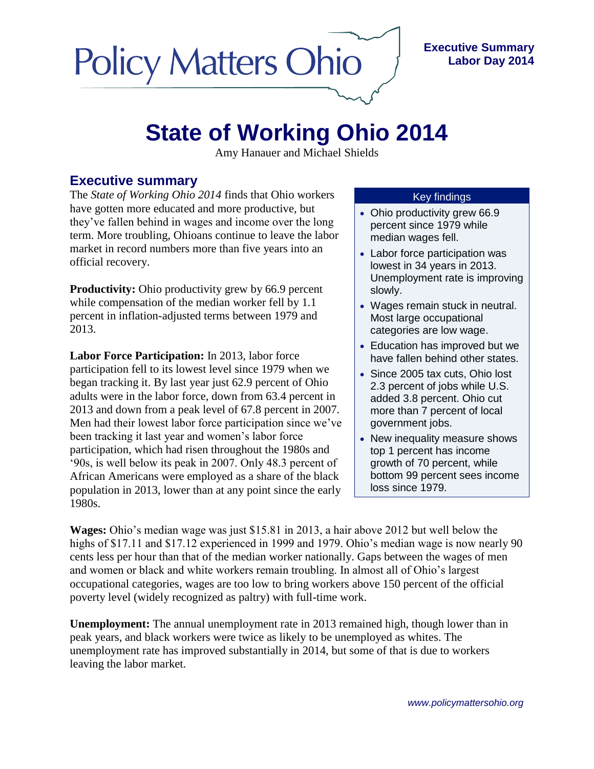# **Policy Matters Ohio**

### **Executive Summary Labor Day 2014**

## **State of Working Ohio 2014**

Amy Hanauer and Michael Shields

### **Executive summary**

The *State of Working Ohio 2014* finds that Ohio workers have gotten more educated and more productive, but they've fallen behind in wages and income over the long term. More troubling, Ohioans continue to leave the labor market in record numbers more than five years into an official recovery.

**Productivity:** Ohio productivity grew by 66.9 percent while compensation of the median worker fell by 1.1 percent in inflation-adjusted terms between 1979 and 2013.

**Labor Force Participation:** In 2013, labor force participation fell to its lowest level since 1979 when we began tracking it. By last year just 62.9 percent of Ohio adults were in the labor force, down from 63.4 percent in 2013 and down from a peak level of 67.8 percent in 2007. Men had their lowest labor force participation since we've been tracking it last year and women's labor force participation, which had risen throughout the 1980s and '90s, is well below its peak in 2007. Only 48.3 percent of African Americans were employed as a share of the black population in 2013, lower than at any point since the early 1980s.

#### Key findings

- Ohio productivity grew 66.9 percent since 1979 while median wages fell.
- Labor force participation was lowest in 34 years in 2013. Unemployment rate is improving slowly.
- Wages remain stuck in neutral. Most large occupational categories are low wage.
- Education has improved but we have fallen behind other states.
- Since 2005 tax cuts, Ohio lost 2.3 percent of jobs while U.S. added 3.8 percent. Ohio cut more than 7 percent of local government jobs.
- New inequality measure shows top 1 percent has income growth of 70 percent, while bottom 99 percent sees income loss since 1979.

**Wages:** Ohio's median wage was just \$15.81 in 2013, a hair above 2012 but well below the highs of \$17.11 and \$17.12 experienced in 1999 and 1979. Ohio's median wage is now nearly 90 cents less per hour than that of the median worker nationally. Gaps between the wages of men and women or black and white workers remain troubling. In almost all of Ohio's largest occupational categories, wages are too low to bring workers above 150 percent of the official poverty level (widely recognized as paltry) with full-time work.

**Unemployment:** The annual unemployment rate in 2013 remained high, though lower than in peak years, and black workers were twice as likely to be unemployed as whites. The unemployment rate has improved substantially in 2014, but some of that is due to workers leaving the labor market.